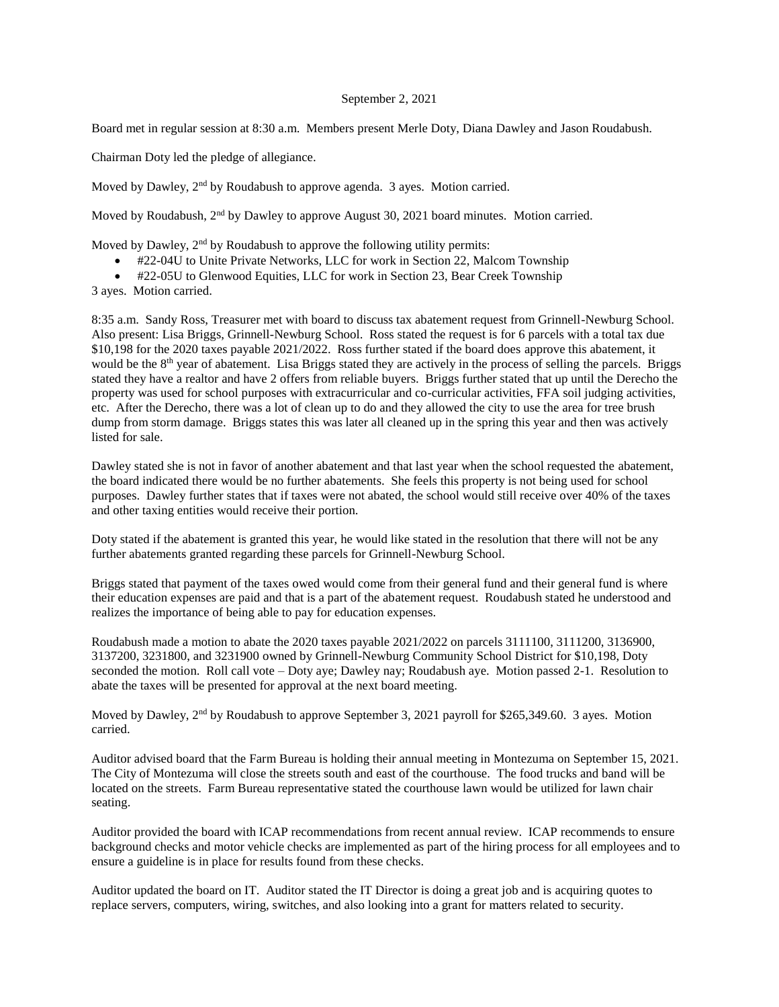## September 2, 2021

Board met in regular session at 8:30 a.m. Members present Merle Doty, Diana Dawley and Jason Roudabush.

Chairman Doty led the pledge of allegiance.

Moved by Dawley, 2<sup>nd</sup> by Roudabush to approve agenda. 3 ayes. Motion carried.

Moved by Roudabush, 2<sup>nd</sup> by Dawley to approve August 30, 2021 board minutes. Motion carried.

Moved by Dawley, 2<sup>nd</sup> by Roudabush to approve the following utility permits:

- #22-04U to Unite Private Networks, LLC for work in Section 22, Malcom Township
- #22-05U to Glenwood Equities, LLC for work in Section 23, Bear Creek Township
- 3 ayes. Motion carried.

8:35 a.m. Sandy Ross, Treasurer met with board to discuss tax abatement request from Grinnell-Newburg School. Also present: Lisa Briggs, Grinnell-Newburg School. Ross stated the request is for 6 parcels with a total tax due \$10,198 for the 2020 taxes payable 2021/2022. Ross further stated if the board does approve this abatement, it would be the 8<sup>th</sup> year of abatement. Lisa Briggs stated they are actively in the process of selling the parcels. Briggs stated they have a realtor and have 2 offers from reliable buyers. Briggs further stated that up until the Derecho the property was used for school purposes with extracurricular and co-curricular activities, FFA soil judging activities, etc. After the Derecho, there was a lot of clean up to do and they allowed the city to use the area for tree brush dump from storm damage. Briggs states this was later all cleaned up in the spring this year and then was actively listed for sale.

Dawley stated she is not in favor of another abatement and that last year when the school requested the abatement, the board indicated there would be no further abatements. She feels this property is not being used for school purposes. Dawley further states that if taxes were not abated, the school would still receive over 40% of the taxes and other taxing entities would receive their portion.

Doty stated if the abatement is granted this year, he would like stated in the resolution that there will not be any further abatements granted regarding these parcels for Grinnell-Newburg School.

Briggs stated that payment of the taxes owed would come from their general fund and their general fund is where their education expenses are paid and that is a part of the abatement request. Roudabush stated he understood and realizes the importance of being able to pay for education expenses.

Roudabush made a motion to abate the 2020 taxes payable 2021/2022 on parcels 3111100, 3111200, 3136900, 3137200, 3231800, and 3231900 owned by Grinnell-Newburg Community School District for \$10,198, Doty seconded the motion. Roll call vote – Doty aye; Dawley nay; Roudabush aye. Motion passed 2-1. Resolution to abate the taxes will be presented for approval at the next board meeting.

Moved by Dawley, 2<sup>nd</sup> by Roudabush to approve September 3, 2021 payroll for \$265,349.60. 3 ayes. Motion carried.

Auditor advised board that the Farm Bureau is holding their annual meeting in Montezuma on September 15, 2021. The City of Montezuma will close the streets south and east of the courthouse. The food trucks and band will be located on the streets. Farm Bureau representative stated the courthouse lawn would be utilized for lawn chair seating.

Auditor provided the board with ICAP recommendations from recent annual review. ICAP recommends to ensure background checks and motor vehicle checks are implemented as part of the hiring process for all employees and to ensure a guideline is in place for results found from these checks.

Auditor updated the board on IT. Auditor stated the IT Director is doing a great job and is acquiring quotes to replace servers, computers, wiring, switches, and also looking into a grant for matters related to security.